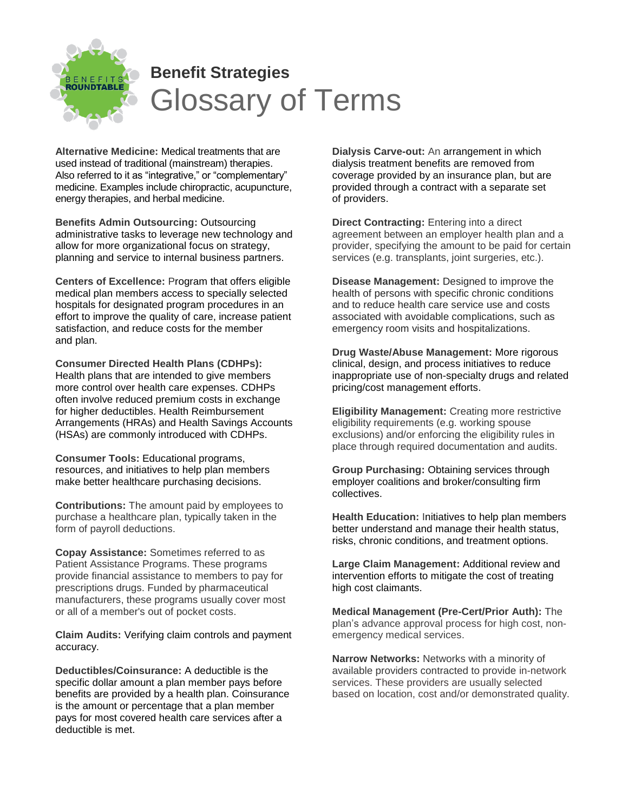

## **Benefit Strategies** Glossary of Terms

**Alternative Medicine:** Medical treatments that are used instead of traditional (mainstream) therapies. Also referred to it as "integrative," or "complementary" medicine. Examples include chiropractic, acupuncture, energy therapies, and herbal medicine.

**Benefits Admin Outsourcing:** Outsourcing administrative tasks to leverage new technology and allow for more organizational focus on strategy, planning and service to internal business partners.

**Centers of Excellence:** Program that offers eligible medical plan members access to specially selected hospitals for designated program procedures in an effort to improve the quality of care, increase patient satisfaction, and reduce costs for the member and plan.

**Consumer Directed Health Plans (CDHPs):** Health plans that are intended to give members more control over health care expenses. CDHPs often involve reduced premium costs in exchange for higher deductibles. Health Reimbursement Arrangements (HRAs) and Health Savings Accounts (HSAs) are commonly introduced with CDHPs.

**Consumer Tools:** Educational programs, resources, and initiatives to help plan members make better healthcare purchasing decisions.

**Contributions:** The amount paid by employees to purchase a healthcare plan, typically taken in the form of payroll deductions.

**Copay Assistance:** Sometimes referred to as Patient Assistance Programs. These programs provide financial assistance to members to pay for prescriptions drugs. Funded by pharmaceutical manufacturers, these programs usually cover most or all of a member's out of pocket costs.

**Claim Audits:** Verifying claim controls and payment accuracy.

**Deductibles/Coinsurance:** A deductible is the specific dollar amount a plan member pays before benefits are provided by a health plan. Coinsurance is the amount or percentage that a plan member pays for most covered health care services after a deductible is met.

**Dialysis Carve-out:** An arrangement in which dialysis treatment benefits are removed from coverage provided by an insurance plan, but are provided through a contract with a separate set of providers.

**Direct Contracting:** Entering into a direct agreement between an employer health plan and a provider, specifying the amount to be paid for certain services (e.g. transplants, joint surgeries, etc.).

**Disease Management:** Designed to improve the health of persons with specific chronic conditions and to reduce health care service use and costs associated with avoidable complications, such as emergency room visits and hospitalizations.

**Drug Waste/Abuse Management:** More rigorous clinical, design, and process initiatives to reduce inappropriate use of non-specialty drugs and related pricing/cost management efforts.

**Eligibility Management:** Creating more restrictive eligibility requirements (e.g. working spouse exclusions) and/or enforcing the eligibility rules in place through required documentation and audits.

**Group Purchasing:** Obtaining services through employer coalitions and broker/consulting firm collectives.

**Health Education:** Initiatives to help plan members better understand and manage their health status, risks, chronic conditions, and treatment options.

**Large Claim Management:** Additional review and intervention efforts to mitigate the cost of treating high cost claimants.

**Medical Management (Pre-Cert/Prior Auth):** The plan's advance approval process for high cost, nonemergency medical services.

**Narrow Networks:** Networks with a minority of available providers contracted to provide in-network services. These providers are usually selected based on location, cost and/or demonstrated quality.